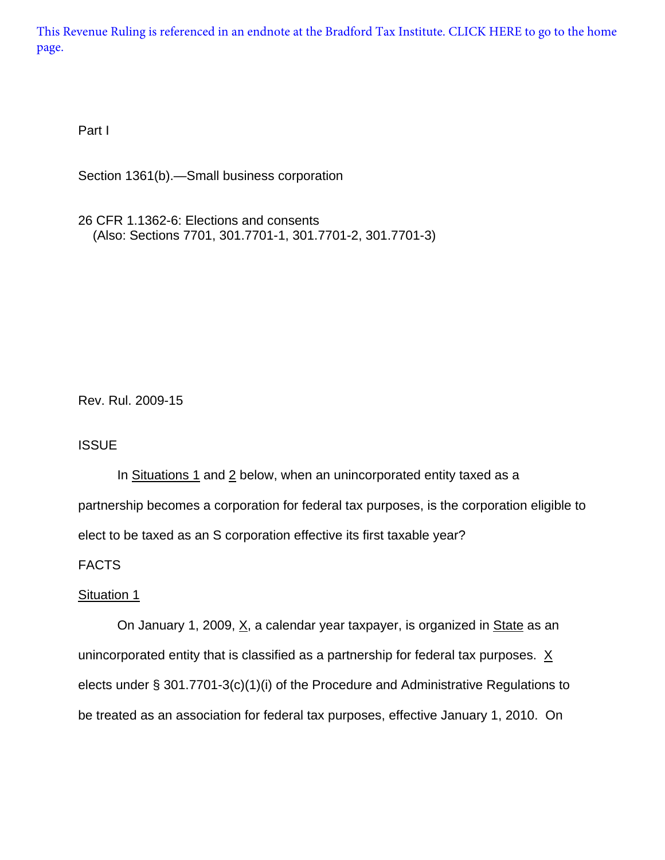[This Revenue Ruling is referenced in an endnote at the Bradford Tax Institute. CLICK HERE to go to the home](http://bradfordtaxinstitute.com/index1.aspx)  page.

Part I

Section 1361(b).—Small business corporation

26 CFR 1.1362-6: Elections and consents (Also: Sections 7701, 301.7701-1, 301.7701-2, 301.7701-3)

Rev. Rul. 2009-15

## **ISSUE**

In Situations 1 and 2 below, when an unincorporated entity taxed as a partnership becomes a corporation for federal tax purposes, is the corporation eligible to elect to be taxed as an S corporation effective its first taxable year?

# FACTS

## Situation 1

On January 1, 2009,  $\underline{X}$ , a calendar year taxpayer, is organized in State as an unincorporated entity that is classified as a partnership for federal tax purposes.  $X$ elects under § 301.7701-3(c)(1)(i) of the Procedure and Administrative Regulations to be treated as an association for federal tax purposes, effective January 1, 2010. On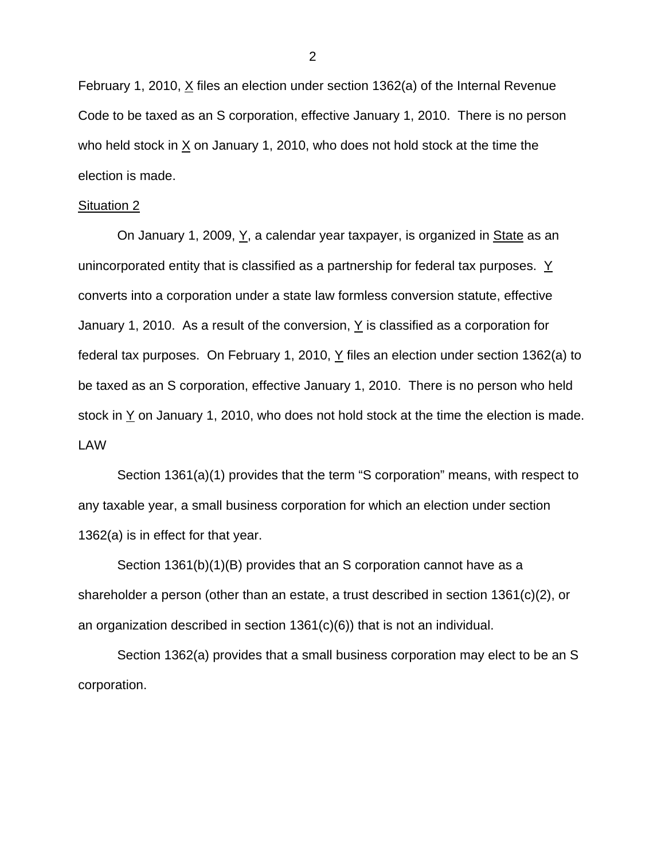February 1, 2010,  $X$  files an election under section 1362(a) of the Internal Revenue Code to be taxed as an S corporation, effective January 1, 2010. There is no person who held stock in  $X$  on January 1, 2010, who does not hold stock at the time the election is made.

#### Situation 2

On January 1, 2009,  $Y$ , a calendar year taxpayer, is organized in  $State$  as an unincorporated entity that is classified as a partnership for federal tax purposes. Y converts into a corporation under a state law formless conversion statute, effective January 1, 2010. As a result of the conversion,  $Y$  is classified as a corporation for federal tax purposes. On February 1, 2010,  $Y$  files an election under section 1362(a) to be taxed as an S corporation, effective January 1, 2010. There is no person who held stock in  $Y$  on January 1, 2010, who does not hold stock at the time the election is made. LAW

Section 1361(a)(1) provides that the term "S corporation" means, with respect to any taxable year, a small business corporation for which an election under section 1362(a) is in effect for that year.

Section 1361(b)(1)(B) provides that an S corporation cannot have as a shareholder a person (other than an estate, a trust described in section 1361(c)(2), or an organization described in section 1361(c)(6)) that is not an individual.

Section 1362(a) provides that a small business corporation may elect to be an S corporation.

2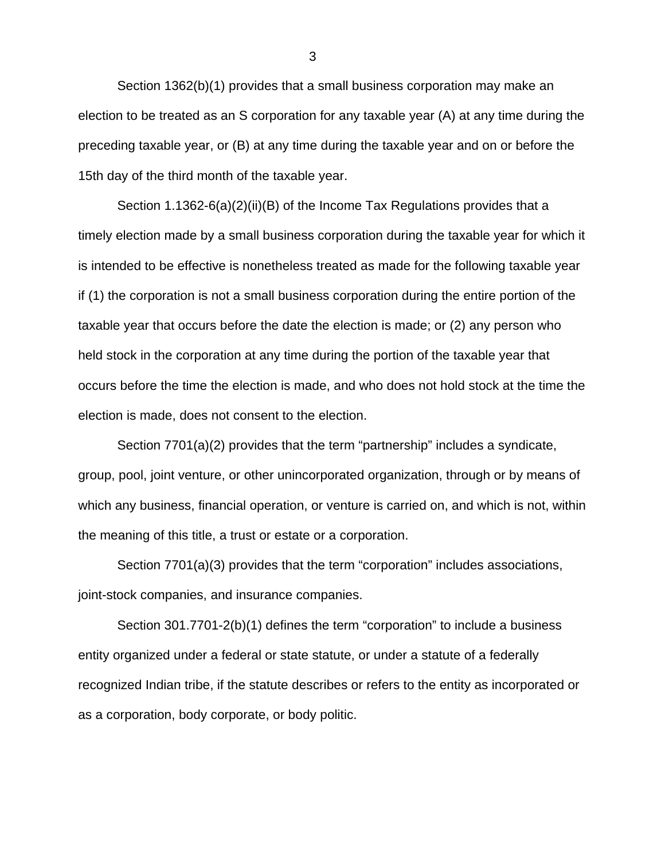Section 1362(b)(1) provides that a small business corporation may make an election to be treated as an S corporation for any taxable year (A) at any time during the preceding taxable year, or (B) at any time during the taxable year and on or before the 15th day of the third month of the taxable year.

Section 1.1362-6(a)(2)(ii)(B) of the Income Tax Regulations provides that a timely election made by a small business corporation during the taxable year for which it is intended to be effective is nonetheless treated as made for the following taxable year if (1) the corporation is not a small business corporation during the entire portion of the taxable year that occurs before the date the election is made; or (2) any person who held stock in the corporation at any time during the portion of the taxable year that occurs before the time the election is made, and who does not hold stock at the time the election is made, does not consent to the election.

Section 7701(a)(2) provides that the term "partnership" includes a syndicate, group, pool, joint venture, or other unincorporated organization, through or by means of which any business, financial operation, or venture is carried on, and which is not, within the meaning of this title, a trust or estate or a corporation.

Section 7701(a)(3) provides that the term "corporation" includes associations, joint-stock companies, and insurance companies.

Section 301.7701-2(b)(1) defines the term "corporation" to include a business entity organized under a federal or state statute, or under a statute of a federally recognized Indian tribe, if the statute describes or refers to the entity as incorporated or as a corporation, body corporate, or body politic.

3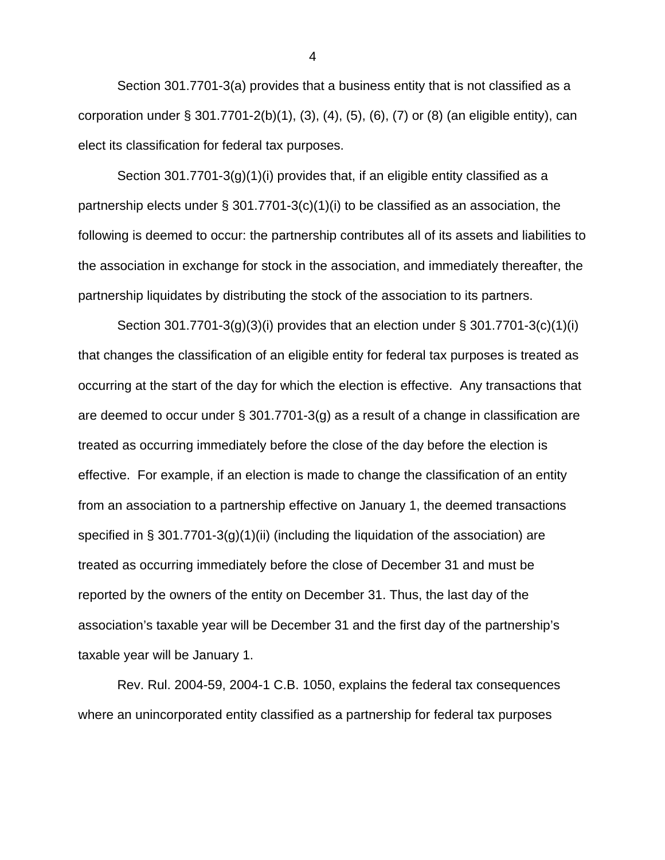Section 301.7701-3(a) provides that a business entity that is not classified as a corporation under § 301.7701-2(b)(1), (3), (4), (5), (6), (7) or (8) (an eligible entity), can elect its classification for federal tax purposes.

Section 301.7701-3(g)(1)(i) provides that, if an eligible entity classified as a partnership elects under  $\S$  301.7701-3(c)(1)(i) to be classified as an association, the following is deemed to occur: the partnership contributes all of its assets and liabilities to the association in exchange for stock in the association, and immediately thereafter, the partnership liquidates by distributing the stock of the association to its partners.

Section 301.7701-3(g)(3)(i) provides that an election under § 301.7701-3(c)(1)(i) that changes the classification of an eligible entity for federal tax purposes is treated as occurring at the start of the day for which the election is effective. Any transactions that are deemed to occur under § 301.7701-3(g) as a result of a change in classification are treated as occurring immediately before the close of the day before the election is effective. For example, if an election is made to change the classification of an entity from an association to a partnership effective on January 1, the deemed transactions specified in § 301.7701-3(g)(1)(ii) (including the liquidation of the association) are treated as occurring immediately before the close of December 31 and must be reported by the owners of the entity on December 31. Thus, the last day of the association's taxable year will be December 31 and the first day of the partnership's taxable year will be January 1.

Rev. Rul. 2004-59, 2004-1 C.B. 1050, explains the federal tax consequences where an unincorporated entity classified as a partnership for federal tax purposes

4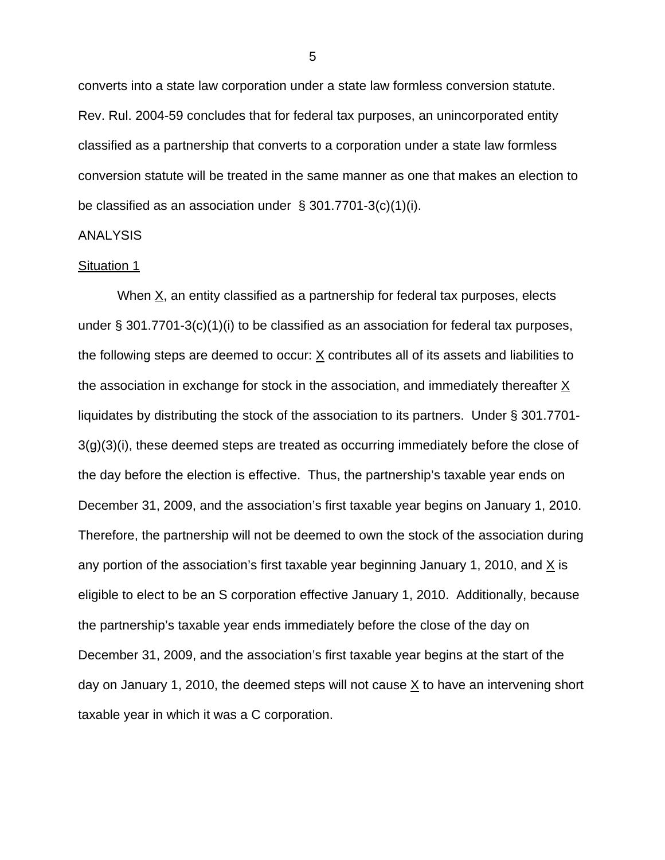converts into a state law corporation under a state law formless conversion statute. Rev. Rul. 2004-59 concludes that for federal tax purposes, an unincorporated entity classified as a partnership that converts to a corporation under a state law formless conversion statute will be treated in the same manner as one that makes an election to be classified as an association under § 301.7701-3(c)(1)(i).

#### ANALYSIS

#### Situation 1

When  $X$ , an entity classified as a partnership for federal tax purposes, elects under § 301.7701-3(c)(1)(i) to be classified as an association for federal tax purposes, the following steps are deemed to occur:  $X$  contributes all of its assets and liabilities to the association in exchange for stock in the association, and immediately thereafter  $\underline{X}$ liquidates by distributing the stock of the association to its partners. Under § 301.7701- 3(g)(3)(i), these deemed steps are treated as occurring immediately before the close of the day before the election is effective. Thus, the partnership's taxable year ends on December 31, 2009, and the association's first taxable year begins on January 1, 2010. Therefore, the partnership will not be deemed to own the stock of the association during any portion of the association's first taxable year beginning January 1, 2010, and  $\underline{X}$  is eligible to elect to be an S corporation effective January 1, 2010. Additionally, because the partnership's taxable year ends immediately before the close of the day on December 31, 2009, and the association's first taxable year begins at the start of the day on January 1, 2010, the deemed steps will not cause  $\underline{X}$  to have an intervening short taxable year in which it was a C corporation.

 $\sim$  5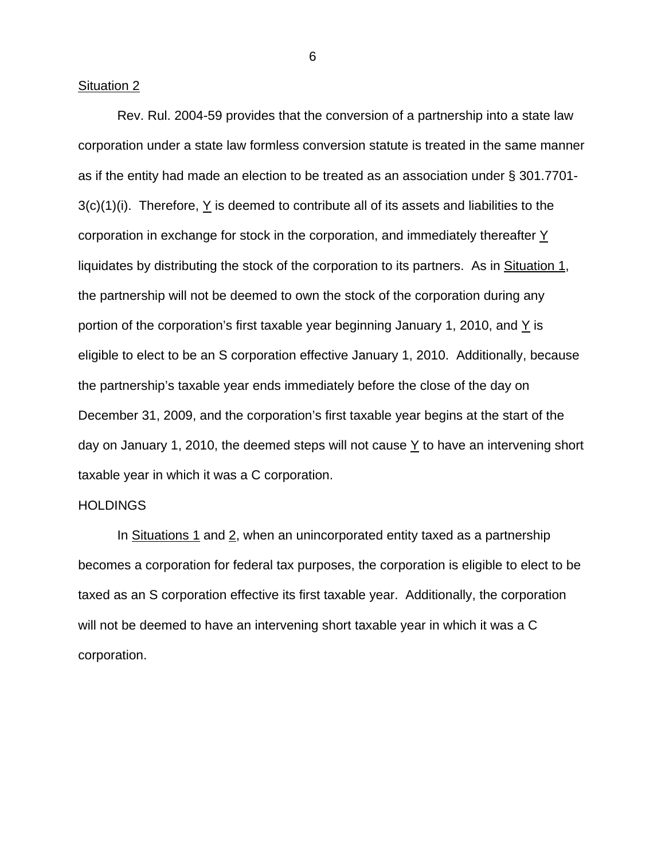#### Situation 2

Rev. Rul. 2004-59 provides that the conversion of a partnership into a state law corporation under a state law formless conversion statute is treated in the same manner as if the entity had made an election to be treated as an association under § 301.7701- 3(c)(1)(i). Therefore, Y is deemed to contribute all of its assets and liabilities to the corporation in exchange for stock in the corporation, and immediately thereafter Y liquidates by distributing the stock of the corporation to its partners. As in Situation 1, the partnership will not be deemed to own the stock of the corporation during any portion of the corporation's first taxable year beginning January 1, 2010, and  $Y$  is eligible to elect to be an S corporation effective January 1, 2010. Additionally, because the partnership's taxable year ends immediately before the close of the day on December 31, 2009, and the corporation's first taxable year begins at the start of the day on January 1, 2010, the deemed steps will not cause  $Y$  to have an intervening short taxable year in which it was a C corporation.

#### **HOLDINGS**

In Situations 1 and 2, when an unincorporated entity taxed as a partnership becomes a corporation for federal tax purposes, the corporation is eligible to elect to be taxed as an S corporation effective its first taxable year. Additionally, the corporation will not be deemed to have an intervening short taxable year in which it was a C corporation.

 $\overline{6}$